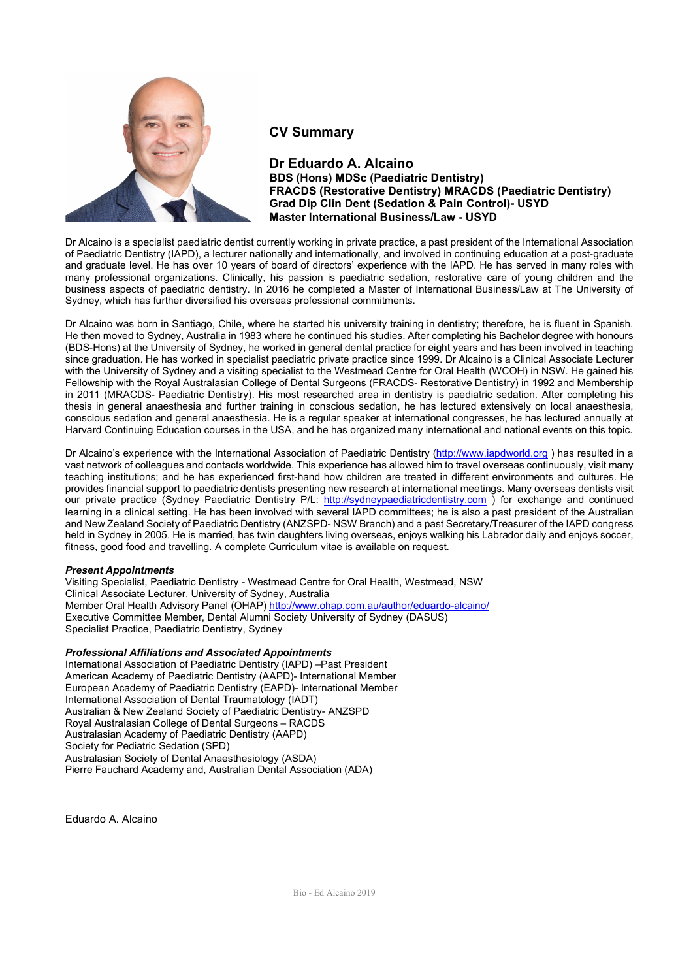

### CV Summary

### Dr Eduardo A. Alcaino BDS (Hons) MDSc (Paediatric Dentistry) FRACDS (Restorative Dentistry) MRACDS (Paediatric Dentistry) Grad Dip Clin Dent (Sedation & Pain Control)- USYD Master International Business/Law - USYD

Dr Alcaino is a specialist paediatric dentist currently working in private practice, a past president of the International Association of Paediatric Dentistry (IAPD), a lecturer nationally and internationally, and involved in continuing education at a post-graduate and graduate level. He has over 10 years of board of directors' experience with the IAPD. He has served in many roles with many professional organizations. Clinically, his passion is paediatric sedation, restorative care of young children and the business aspects of paediatric dentistry. In 2016 he completed a Master of International Business/Law at The University of Sydney, which has further diversified his overseas professional commitments.

Dr Alcaino was born in Santiago, Chile, where he started his university training in dentistry; therefore, he is fluent in Spanish. He then moved to Sydney, Australia in 1983 where he continued his studies. After completing his Bachelor degree with honours (BDS-Hons) at the University of Sydney, he worked in general dental practice for eight years and has been involved in teaching since graduation. He has worked in specialist paediatric private practice since 1999. Dr Alcaino is a Clinical Associate Lecturer with the University of Sydney and a visiting specialist to the Westmead Centre for Oral Health (WCOH) in NSW. He gained his Fellowship with the Royal Australasian College of Dental Surgeons (FRACDS- Restorative Dentistry) in 1992 and Membership in 2011 (MRACDS- Paediatric Dentistry). His most researched area in dentistry is paediatric sedation. After completing his thesis in general anaesthesia and further training in conscious sedation, he has lectured extensively on local anaesthesia, conscious sedation and general anaesthesia. He is a regular speaker at international congresses, he has lectured annually at Harvard Continuing Education courses in the USA, and he has organized many international and national events on this topic.

Dr Alcaino's experience with the International Association of Paediatric Dentistry (http://www.iapdworld.org ) has resulted in a vast network of colleagues and contacts worldwide. This experience has allowed him to travel overseas continuously, visit many teaching institutions; and he has experienced first-hand how children are treated in different environments and cultures. He provides financial support to paediatric dentists presenting new research at international meetings. Many overseas dentists visit our private practice (Sydney Paediatric Dentistry P/L: http://sydneypaediatricdentistry.com ) for exchange and continued learning in a clinical setting. He has been involved with several IAPD committees; he is also a past president of the Australian and New Zealand Society of Paediatric Dentistry (ANZSPD- NSW Branch) and a past Secretary/Treasurer of the IAPD congress held in Sydney in 2005. He is married, has twin daughters living overseas, enjoys walking his Labrador daily and enjoys soccer, fitness, good food and travelling. A complete Curriculum vitae is available on request.

#### Present Appointments

Visiting Specialist, Paediatric Dentistry - Westmead Centre for Oral Health, Westmead, NSW Clinical Associate Lecturer, University of Sydney, Australia Member Oral Health Advisory Panel (OHAP) http://www.ohap.com.au/author/eduardo-alcaino/ Executive Committee Member, Dental Alumni Society University of Sydney (DASUS) Specialist Practice, Paediatric Dentistry, Sydney

#### Professional Affiliations and Associated Appointments

International Association of Paediatric Dentistry (IAPD) –Past President American Academy of Paediatric Dentistry (AAPD)- International Member European Academy of Paediatric Dentistry (EAPD)- International Member International Association of Dental Traumatology (IADT) Australian & New Zealand Society of Paediatric Dentistry- ANZSPD Royal Australasian College of Dental Surgeons – RACDS Australasian Academy of Paediatric Dentistry (AAPD) Society for Pediatric Sedation (SPD) Australasian Society of Dental Anaesthesiology (ASDA) Pierre Fauchard Academy and, Australian Dental Association (ADA)

Eduardo A. Alcaino